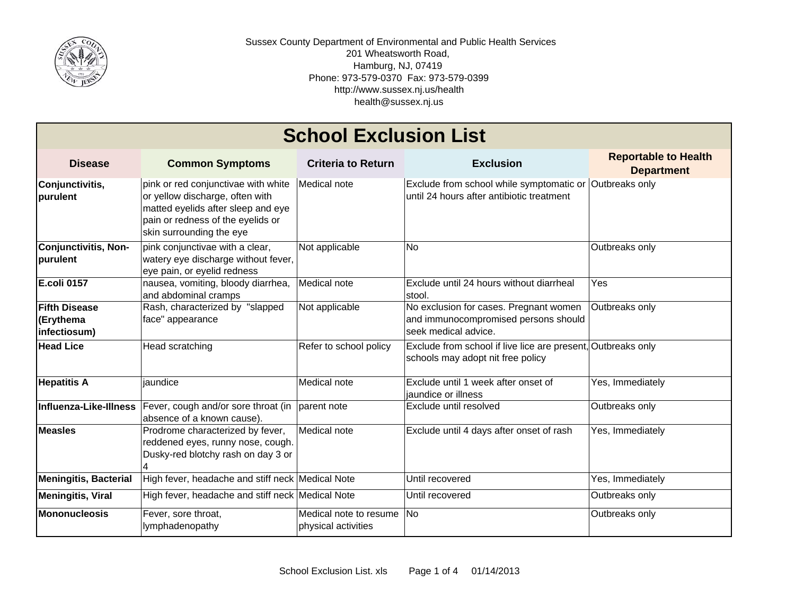

## **Disease Common Symptoms Criteria to Return Exclusion Reportable to Health Department Conjunctivitis, purulent** pink or red conjunctivae with white or yellow discharge, often with matted eyelids after sleep and eye pain or redness of the eyelids or skin surrounding the eye Medical note **Exclude from school while symptomatic or** until 24 hours after antibiotic treatmentOutbreaks only **Conjunctivitis, Non-Conjunctivitis, Non-** pink conjunctivae with a clear,<br> **purulent** watery eye discharge without fever, eye pain, or eyelid redness Not applicable  $\overline{\phantom{a}}$  No  $\overline{\phantom{a}}$  Outbreaks only **E.coli 0157** nausea, vomiting, bloody diarrhea, and abdominal cramps Medical note Exclude until 24 hours without diarrheal stool.Yes**Fifth Disease (Erythema infectiosum)** Rash, characterized by "slapped face" appearance Not applicable No exclusion for cases. Pregnant women and immunocompromised persons should seek medical advice. Outbreaks only **Head Lice**e |Head scratching |Refer to school policy |Exclude from school if live lice are present,|Outbreaks only schools may adopt nit free policy **Hepatitis A** jaundice Medical note Exclude until 1 week after onset of jaundice or illness Yes, Immediately **Influenza-Like-Illness**Fever, cough and/or sore throat (in parent note absence of a known cause). Exclude until resolved **Dutil Containers** Outbreaks only **Measles** Prodrome characterized by fever, reddened eyes, runny nose, cough. Dusky-red blotchy rash on day 3 or 4Medical note  $\vert$ Exclude until 4 days after onset of rash  $\vert$ Yes, Immediately **Meningitis, Bacterial High fever, headache and stiff neck Medical Note Until recovered Yes, Immediately Yes, Immediately Meningitis, Viral** High fever, headache and stiff neck Medical Note **Until recovered** Duther Allow Dutbreaks only **Mononucleosis** Fever, sore throat, lymphadenopathy Medical note to resume physical activities No **Outbreaks** only **School Exclusion List**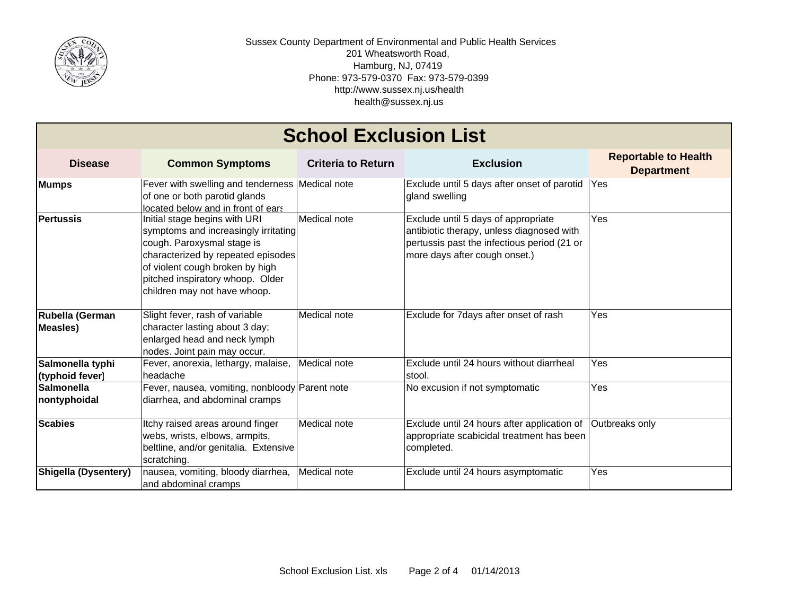

| <b>School Exclusion List</b>        |                                                                                                                                                                                                                                                  |                           |                                                                                                                                                                  |                                                  |  |  |
|-------------------------------------|--------------------------------------------------------------------------------------------------------------------------------------------------------------------------------------------------------------------------------------------------|---------------------------|------------------------------------------------------------------------------------------------------------------------------------------------------------------|--------------------------------------------------|--|--|
| <b>Disease</b>                      | <b>Common Symptoms</b>                                                                                                                                                                                                                           | <b>Criteria to Return</b> | <b>Exclusion</b>                                                                                                                                                 | <b>Reportable to Health</b><br><b>Department</b> |  |  |
| <b>Mumps</b>                        | Fever with swelling and tenderness Medical note<br>of one or both parotid glands<br>located below and in front of ears                                                                                                                           |                           | Exclude until 5 days after onset of parotid Yes<br>gland swelling                                                                                                |                                                  |  |  |
| <b>Pertussis</b>                    | Initial stage begins with URI<br>symptoms and increasingly irritating<br>cough. Paroxysmal stage is<br>characterized by repeated episodes<br>of violent cough broken by high<br>pitched inspiratory whoop. Older<br>children may not have whoop. | Medical note              | Exclude until 5 days of appropriate<br>antibiotic therapy, unless diagnosed with<br>pertussis past the infectious period (21 or<br>more days after cough onset.) | Yes                                              |  |  |
| Rubella (German<br><b>Measles</b> ) | Slight fever, rash of variable<br>character lasting about 3 day;<br>enlarged head and neck lymph<br>nodes. Joint pain may occur.                                                                                                                 | Medical note              | Exclude for 7days after onset of rash                                                                                                                            | Yes                                              |  |  |
| Salmonella typhi<br>(typhoid fever) | Fever, anorexia, lethargy, malaise,<br><b>headache</b>                                                                                                                                                                                           | Medical note              | Exclude until 24 hours without diarrheal<br>stool.                                                                                                               | Yes                                              |  |  |
| <b>Salmonella</b><br>nontyphoidal   | Fever, nausea, vomiting, nonbloody Parent note<br>diarrhea, and abdominal cramps                                                                                                                                                                 |                           | No excusion if not symptomatic                                                                                                                                   | Yes                                              |  |  |
| <b>Scabies</b>                      | Itchy raised areas around finger<br>webs, wrists, elbows, armpits,<br>beltline, and/or genitalia. Extensive<br>scratching.                                                                                                                       | Medical note              | Exclude until 24 hours after application of<br>appropriate scabicidal treatment has been<br>completed.                                                           | Outbreaks only                                   |  |  |
| <b>Shigella (Dysentery)</b>         | nausea, vomiting, bloody diarrhea,<br>and abdominal cramps                                                                                                                                                                                       | Medical note              | Exclude until 24 hours asymptomatic                                                                                                                              | Yes                                              |  |  |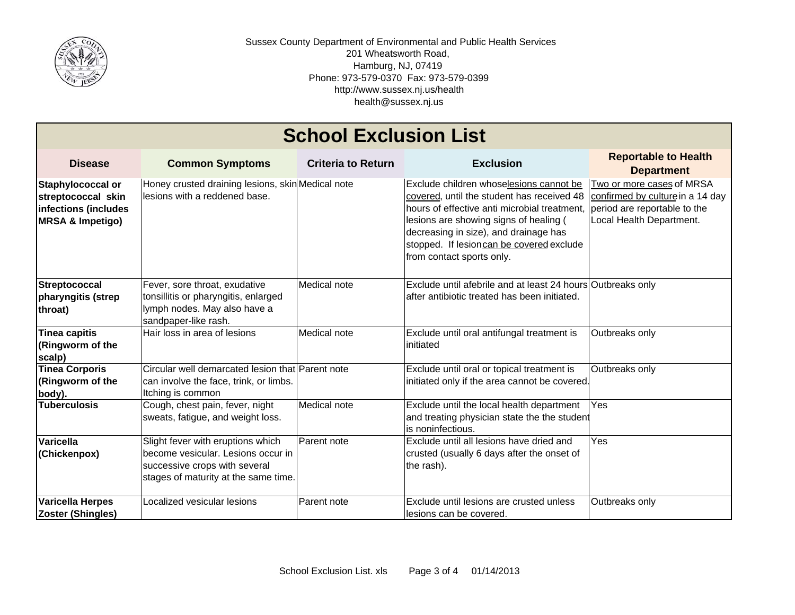

| <b>School Exclusion List</b>                                                                   |                                                                                                                                                  |                           |                                                                                                                                                                                                                                                                                                   |                                                                                                                           |  |  |  |
|------------------------------------------------------------------------------------------------|--------------------------------------------------------------------------------------------------------------------------------------------------|---------------------------|---------------------------------------------------------------------------------------------------------------------------------------------------------------------------------------------------------------------------------------------------------------------------------------------------|---------------------------------------------------------------------------------------------------------------------------|--|--|--|
| <b>Disease</b>                                                                                 | <b>Common Symptoms</b>                                                                                                                           | <b>Criteria to Return</b> | <b>Exclusion</b>                                                                                                                                                                                                                                                                                  | <b>Reportable to Health</b><br><b>Department</b>                                                                          |  |  |  |
| Staphylococcal or<br>streptococcal skin<br>infections (includes<br><b>MRSA &amp; Impetigo)</b> | Honey crusted draining lesions, skin Medical note<br>lesions with a reddened base.                                                               |                           | Exclude children whoselesions cannot be<br>covered, until the student has received 48<br>hours of effective anti microbial treatment,<br>lesions are showing signs of healing (<br>decreasing in size), and drainage has<br>stopped. If lesioncan be covered exclude<br>from contact sports only. | Two or more cases of MRSA<br>confirmed by culture in a 14 day<br>period are reportable to the<br>Local Health Department. |  |  |  |
| <b>Streptococcal</b><br>pharyngitis (strep<br>throat)                                          | Fever, sore throat, exudative<br>tonsillitis or pharyngitis, enlarged<br>lymph nodes. May also have a<br>sandpaper-like rash.                    | Medical note              | Exclude until afebrile and at least 24 hours Outbreaks only<br>after antibiotic treated has been initiated.                                                                                                                                                                                       |                                                                                                                           |  |  |  |
| Tinea capitis<br>(Ringworm of the<br>scalp)                                                    | Hair loss in area of lesions                                                                                                                     | Medical note              | Exclude until oral antifungal treatment is<br>initiated                                                                                                                                                                                                                                           | Outbreaks only                                                                                                            |  |  |  |
| <b>Tinea Corporis</b><br>(Ringworm of the<br>body).                                            | Circular well demarcated lesion that Parent note<br>can involve the face, trink, or limbs.<br>Itching is common                                  |                           | Exclude until oral or topical treatment is<br>initiated only if the area cannot be covered.                                                                                                                                                                                                       | Outbreaks only                                                                                                            |  |  |  |
| <b>Tuberculosis</b>                                                                            | Cough, chest pain, fever, night<br>sweats, fatigue, and weight loss.                                                                             | Medical note              | Exclude until the local health department<br>and treating physician state the the student<br>is noninfectious.                                                                                                                                                                                    | Yes                                                                                                                       |  |  |  |
| Varicella<br>(Chickenpox)                                                                      | Slight fever with eruptions which<br>become vesicular. Lesions occur in<br>successive crops with several<br>stages of maturity at the same time. | Parent note               | Exclude until all lesions have dried and<br>crusted (usually 6 days after the onset of<br>the rash).                                                                                                                                                                                              | Yes                                                                                                                       |  |  |  |
| <b>Varicella Herpes</b><br><b>Zoster (Shingles)</b>                                            | Localized vesicular lesions                                                                                                                      | Parent note               | Exclude until lesions are crusted unless<br>lesions can be covered.                                                                                                                                                                                                                               | Outbreaks only                                                                                                            |  |  |  |